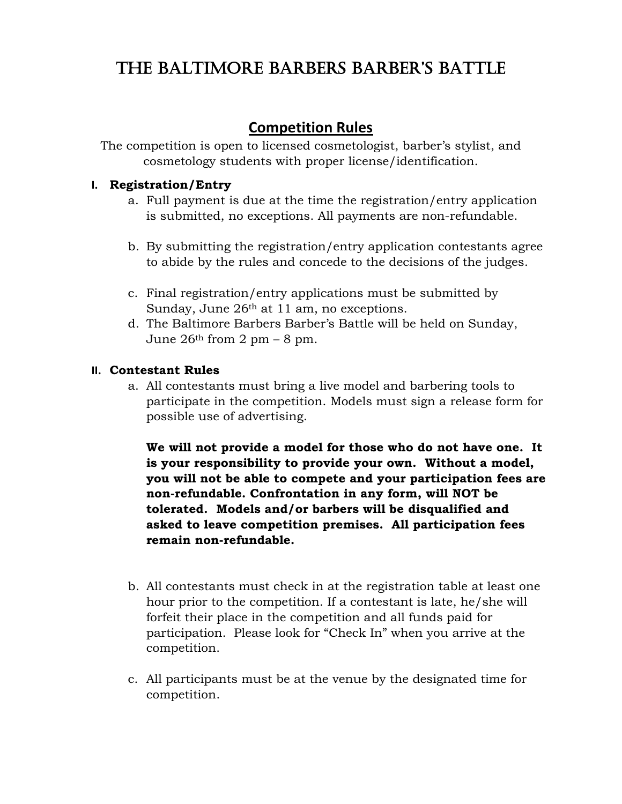# The BalTimore BarBers BarBer's BaTTle

## **Competition Rules**

The competition is open to licensed cosmetologist, barber's stylist, and cosmetology students with proper license/identification.

### **I. Registration/Entry**

- a. Full payment is due at the time the registration/entry application is submitted, no exceptions. All payments are non-refundable.
- b. By submitting the registration/entry application contestants agree to abide by the rules and concede to the decisions of the judges.
- c. Final registration/entry applications must be submitted by Sunday, June 26<sup>th</sup> at 11 am, no exceptions.
- d. The Baltimore Barbers Barber's Battle will be held on Sunday, June  $26<sup>th</sup>$  from 2 pm – 8 pm.

### **II. Contestant Rules**

a. All contestants must bring a live model and barbering tools to participate in the competition. Models must sign a release form for possible use of advertising.

**We will not provide a model for those who do not have one. It is your responsibility to provide your own. Without a model, you will not be able to compete and your participation fees are non-refundable. Confrontation in any form, will NOT be tolerated. Models and/or barbers will be disqualified and asked to leave competition premises. All participation fees remain non-refundable.** 

- b. All contestants must check in at the registration table at least one hour prior to the competition. If a contestant is late, he/she will forfeit their place in the competition and all funds paid for participation. Please look for "Check In" when you arrive at the competition.
- c. All participants must be at the venue by the designated time for competition.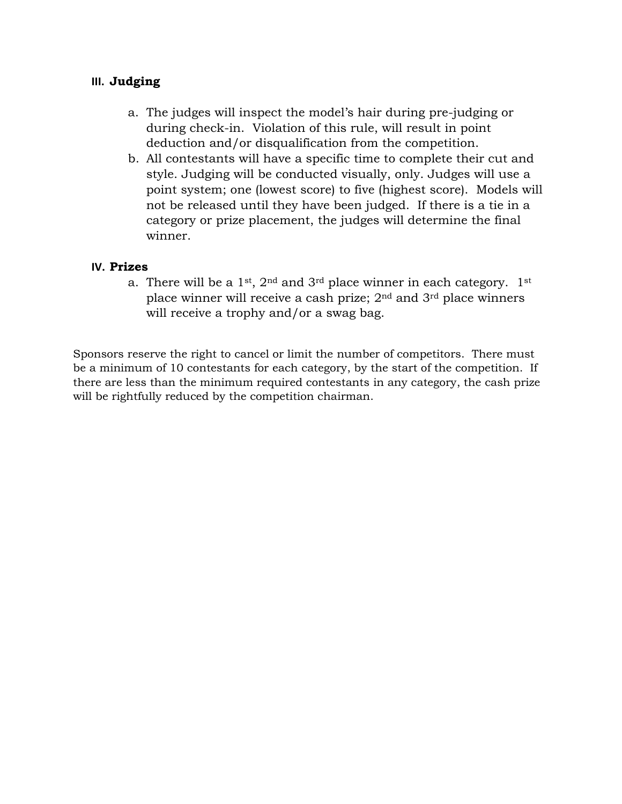### **III. Judging**

- a. The judges will inspect the model's hair during pre-judging or during check-in. Violation of this rule, will result in point deduction and/or disqualification from the competition.
- b. All contestants will have a specific time to complete their cut and style. Judging will be conducted visually, only. Judges will use a point system; one (lowest score) to five (highest score). Models will not be released until they have been judged. If there is a tie in a category or prize placement, the judges will determine the final winner.

#### **IV. Prizes**

a. There will be a  $1^{st}$ ,  $2^{nd}$  and  $3^{rd}$  place winner in each category.  $1^{st}$ place winner will receive a cash prize; 2nd and 3rd place winners will receive a trophy and/or a swag bag.

Sponsors reserve the right to cancel or limit the number of competitors. There must be a minimum of 10 contestants for each category, by the start of the competition. If there are less than the minimum required contestants in any category, the cash prize will be rightfully reduced by the competition chairman.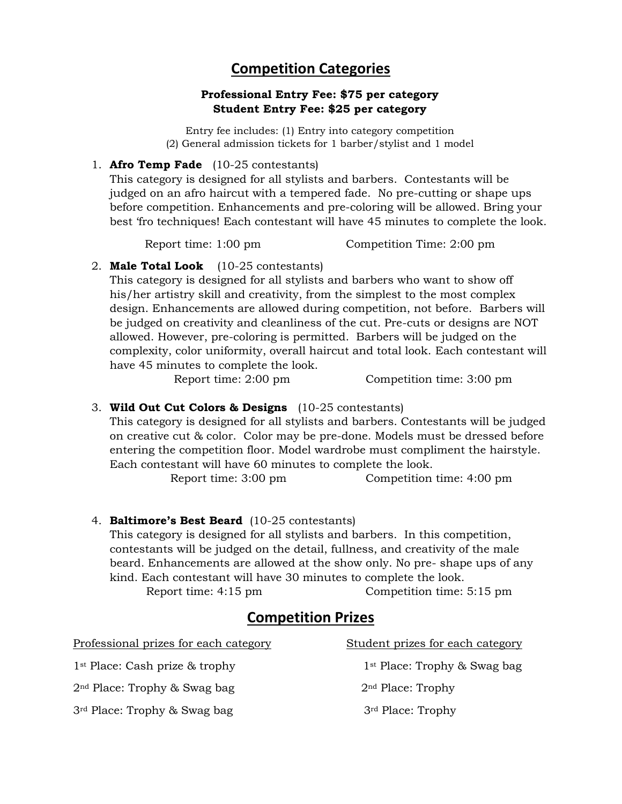## **Competition Categories**

#### **Professional Entry Fee: \$75 per category Student Entry Fee: \$25 per category**

Entry fee includes: (1) Entry into category competition (2) General admission tickets for 1 barber/stylist and 1 model

1. **Afro Temp Fade** (10-25 contestants)

This category is designed for all stylists and barbers. Contestants will be judged on an afro haircut with a tempered fade. No pre-cutting or shape ups before competition. Enhancements and pre-coloring will be allowed. Bring your best 'fro techniques! Each contestant will have 45 minutes to complete the look.

Report time: 1:00 pm Competition Time: 2:00 pm

#### 2. **Male Total Look** (10-25 contestants)

This category is designed for all stylists and barbers who want to show off his/her artistry skill and creativity, from the simplest to the most complex design. Enhancements are allowed during competition, not before. Barbers will be judged on creativity and cleanliness of the cut. Pre-cuts or designs are NOT allowed. However, pre-coloring is permitted. Barbers will be judged on the complexity, color uniformity, overall haircut and total look. Each contestant will have 45 minutes to complete the look.

Report time: 2:00 pm Competition time: 3:00 pm

#### 3. **Wild Out Cut Colors & Designs** (10-25 contestants)

This category is designed for all stylists and barbers. Contestants will be judged on creative cut & color. Color may be pre-done. Models must be dressed before entering the competition floor. Model wardrobe must compliment the hairstyle. Each contestant will have 60 minutes to complete the look.

Report time: 3:00 pm Competition time: 4:00 pm

#### 4. **Baltimore's Best Beard** (10-25 contestants)

This category is designed for all stylists and barbers. In this competition, contestants will be judged on the detail, fullness, and creativity of the male beard. Enhancements are allowed at the show only. No pre- shape ups of any kind. Each contestant will have 30 minutes to complete the look.

Report time: 4:15 pm Competition time: 5:15 pm

## **Competition Prizes**

Professional prizes for each category Student prizes for each category

 $2<sup>nd</sup> Place: Trophy & Swag bag$  2<sup>nd</sup> Place: Trophy

3<sup>rd</sup> Place: Trophy & Swag bag 3<sup>rd</sup> Place: Trophy

1<sup>st</sup> Place: Cash prize & trophy 1<sup>st</sup> Place: Trophy & Swag bag